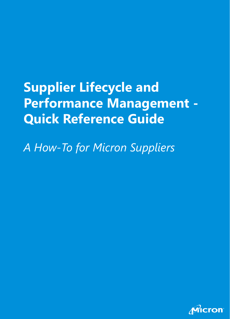# **Supplier Lifecycle and Performance Management - Quick Reference Guide**

*A How-To for Micron Suppliers*

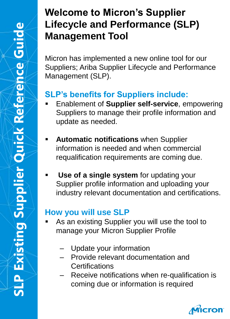#### **Welcome to Micron's Supplier Lifecycle and Performance (SLP) Management Tool**

Micron has implemented a new online tool for our Suppliers; Ariba Supplier Lifecycle and Performance Management (SLP).

#### **SLP's benefits for Suppliers include:**

- **Enablement of Supplier self-service**, empowering Suppliers to manage their profile information and update as needed.
- **Automatic notifications** when Supplier information is needed and when commercial requalification requirements are coming due.
- **Use of a single system** for updating your Supplier profile information and uploading your industry relevant documentation and certifications.

#### **How you will use SLP**

- As an existing Supplier you will use the tool to manage your Micron Supplier Profile
	- ‒ Update your information
	- ‒ Provide relevant documentation and **Certifications**
	- Receive notifications when re-qualification is coming due or information is required

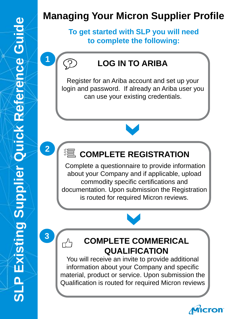## **Managing Your Micron Supplier Profile**

**To get started with SLP you will need to complete the following:**

#### **LOG IN TO ARIBA**

Register for an Ariba account and set up your login and password. If already an Ariba user you can use your existing credentials.

#### **《** COMPLETE REGISTRATION

Complete a questionnaire to provide information about your Company and if applicable, upload commodity specific certifications and documentation. Upon submission the Registration is routed for required Micron reviews.

**3**

**1**

ြ

**2**

#### **COMPLETE COMMERICAL QUALIFICATION**

You will receive an invite to provide additional information about your Company and specific material, product or service. Upon submission the Qualification is routed for required Micron reviews

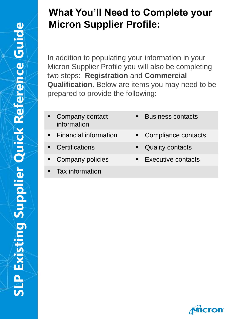#### **What You'll Need to Complete your Micron Supplier Profile:**

In addition to populating your information in your Micron Supplier Profile you will also be completing two steps: **Registration** and **Commercial Qualification**. Below are items you may need to be prepared to provide the following:

- Company contact information
- 
- 
- 
- **Tax information**
- Business contacts
- **Financial information Compliance contacts**
- Certifications **■** Quality contacts
- Company policies **Executive contacts**

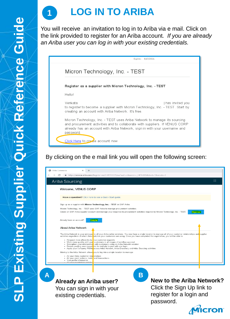

You will receive an invitation to log in to Ariba via e mail. Click on the link provided to register for an Ariba account*. If you are already an Ariba user you can log in with your existing credentials.*



#### By clicking on the e mail link you will open the following screen:

| Welcome, VENUS CORP                                                                                                                                                                                                                                                                                       |
|-----------------------------------------------------------------------------------------------------------------------------------------------------------------------------------------------------------------------------------------------------------------------------------------------------------|
| Have a question? Click here to see a Quick Start guide.                                                                                                                                                                                                                                                   |
| Sign up as a supplier with Micron Technology, Inc. - TEST on SAP Ariba.                                                                                                                                                                                                                                   |
| Micron Technology, Inc. - TEST uses SAP Ariba to manage procurement activities.                                                                                                                                                                                                                           |
| Create an SAP Ariba supplier account and manage your response to procurement activities required by Micron Technology, Inc. - TEST.<br>Sign up                                                                                                                                                            |
| Already have an account?<br>Log in                                                                                                                                                                                                                                                                        |
| About Ariba Network                                                                                                                                                                                                                                                                                       |
| The Ariba Network is your entryway to all your Ariba seller solutions. You now have a single location to manage all of your customer relationships and supplier<br>activities regardless of which Ariba solution your customers are using. Once you have completed the registration, you will be able to: |
| • Respond more efficiently to vour customer requests<br>• Work more quickly with you customers in all stages of workflow approval                                                                                                                                                                         |
| • Strengthen your relationships with customers using an Ariba Network solution<br>• Review pending sourcing ewn hts for multiple buyers with one login                                                                                                                                                    |
| Apply your Company Profile across Ariba Network, Ariba Discovery and Ariba Sourcing activities. •                                                                                                                                                                                                         |
| Moving to the Ariba Network allows you to log into a single location to manage:                                                                                                                                                                                                                           |
| • All your Ariba customer relationships<br>• All your event actions, tasks and transactions                                                                                                                                                                                                               |
| • Your profile information<br>All nous sociatestion octivitie                                                                                                                                                                                                                                             |

You can sign in with your existing credentials.

Click the Sign Up link to register for a login and password.

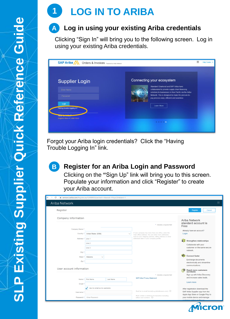# **1 LOG IN TO ARIBA**

#### **Log in using your existing Ariba credentials A**

Clicking "Sign In" will bring you to the following screen. Log in using your existing Ariba credentials.



Forgot your Ariba login credentials? Click the "Having Trouble Logging In" link.



#### **Register for an Ariba Login and Password**

Clicking on the **"**Sign Up" link will bring you to this screen. Populate your information and click "Register" to create your Ariba account.

| Ariba Network            |                                 |                                                                                                          |                                                  |
|--------------------------|---------------------------------|----------------------------------------------------------------------------------------------------------|--------------------------------------------------|
| Register                 |                                 |                                                                                                          | Cancel<br>Register                               |
| Company information      |                                 |                                                                                                          | Ariba Network                                    |
|                          |                                 | * Indicates a required field                                                                             | standard account is<br>Free                      |
| Company Name: *          |                                 |                                                                                                          | Already have an account?                         |
|                          | Country:* United States [USA]   | If your company has more than one office, enter the<br>main office address. You can enter more addresses | Login                                            |
| Address: • Line 1        |                                 | such as your shipping address, billing address or other<br>addresses later in your company profile.      | RIP.<br><b>Strengthen relationships</b>          |
|                          | Line 2                          |                                                                                                          | Collaborate with your                            |
|                          | Line 3                          |                                                                                                          | customer on the same secure                      |
| City: *                  |                                 |                                                                                                          | network.                                         |
| State: *                 | Alabama<br>$\checkmark$         |                                                                                                          | r.<br><b>Connect faster</b>                      |
| Zip:*                    |                                 |                                                                                                          | Exchange documents                               |
|                          |                                 |                                                                                                          | electronically and streamline<br>communications. |
| User account information |                                 |                                                                                                          | B.<br>Reach more customers<br>worldwide          |
|                          |                                 | * Indicates a required field                                                                             | Sign up with Ariba Discovery                     |
|                          | Name: * First Name<br>Last Name | SAP Ariba Privacy Statement                                                                              | and increase sales leads.                        |
| Email: *                 |                                 |                                                                                                          | Learn more                                       |
|                          | Use my email as my username     |                                                                                                          | After registration download the                  |
| Username:*               |                                 | Must be in email format(e.g john@newco.com) (i)                                                          | SAP Ariba Supplier app from the                  |
|                          |                                 | Must contain a minimum 8 characters including                                                            | Apple App Store or Google Play to                |
| Password: *              | Enter Password                  | letters and numbers. (i)                                                                                 | your mobile device and manage                    |

**cron**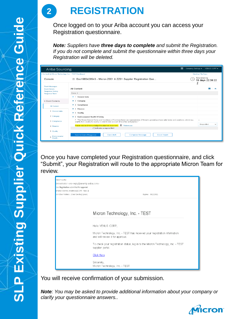## **2 REGISTRATION**

Once logged on to your Ariba account you can access your Registration questionnaire.

*Note: Suppliers have three days to complete and submit the Registration. If you do not complete and submit the questionnaire within three days your Registration will be deleted.*

| Ariba Sourcing                                      | 掇                                                                                                                                                                                                                                             |                   | Company Settings v VENUS CORP v |
|-----------------------------------------------------|-----------------------------------------------------------------------------------------------------------------------------------------------------------------------------------------------------------------------------------------------|-------------------|---------------------------------|
| Go back to Micron Technology, Inc. - TEST Dashboard |                                                                                                                                                                                                                                               | Desktop File Sync |                                 |
| Console                                             | 图 Doc1983429543 - Micron Z001 & ZZ01 Supplier Registration Que                                                                                                                                                                                | Time remaining    | 19 days 22:39:22                |
| Event Messages<br><b>Event Details</b>              | All Content                                                                                                                                                                                                                                   | z                 | an a                            |
| <b>Response History</b><br><b>Response Team</b>     | Name 1                                                                                                                                                                                                                                        |                   |                                 |
|                                                     | $\blacktriangleright$ 1 General data                                                                                                                                                                                                          |                   |                                 |
| <b>Event Contents</b>                               | $\blacktriangleright$ 2 Category                                                                                                                                                                                                              |                   |                                 |
| <b>All Content</b>                                  | $\blacktriangleright$ 3 Compliance                                                                                                                                                                                                            |                   |                                 |
| 1 General data                                      | $\blacktriangleright$ 4 Finance                                                                                                                                                                                                               |                   |                                 |
|                                                     | $\blacktriangleright$ 5 Quality                                                                                                                                                                                                               |                   |                                 |
| 2 Category                                          | ▶ 6 Environmental Health & Safety                                                                                                                                                                                                             |                   |                                 |
| 3 Compliance                                        | 7 "The Micron General Terms and Conditions of Purchase herein are representative of Micron's general purchase order terms and conditions, which vary<br>slightly from country to country in order to take account of local law and practice." | $\pm$             |                                 |
| 4 Finance                                           | Please read and Acknowledge the attached document. E References<br>(") indicates a required field                                                                                                                                             |                   | Unspecified<br>$\checkmark$     |
| 5 Quality<br>Environmental<br>6<br>Health.          | Save draft<br>Compose Message<br><b>Excel Import</b><br>Submit Entire Response                                                                                                                                                                |                   |                                 |

Once you have completed your Registration questionnaire, and click "Submit", your Registration will route to the appropriate Micron Team for review.

| 2019 7:14 PM<br>{ministrator <no-reply@ansmtp.ariba.com><br/>ion: Registration submitted for approval<br/>marao Vadrevu (wadrevu) [CONT - Type 2]</no-reply@ansmtp.ariba.com> |                                                                                                               |  |
|-------------------------------------------------------------------------------------------------------------------------------------------------------------------------------|---------------------------------------------------------------------------------------------------------------|--|
| All Other Folders - 2 Year Delete (2 years)                                                                                                                                   | Expires 9/17/2021                                                                                             |  |
|                                                                                                                                                                               |                                                                                                               |  |
|                                                                                                                                                                               | Micron Technology, Inc. - TEST                                                                                |  |
|                                                                                                                                                                               | Hello VENUS CORP.                                                                                             |  |
|                                                                                                                                                                               | Micron Technology, Inc. - TEST has received your registration information<br>and will review it for approval. |  |
|                                                                                                                                                                               | To check your registration status, log in to the Micron Technology, Inc. - TEST<br>supplier portal.           |  |
|                                                                                                                                                                               | <b>Click Here</b>                                                                                             |  |
|                                                                                                                                                                               | Sincerely,<br>Micron Technology, Inc. - TEST                                                                  |  |

You will receive confirmation of your submission.

*Note: You may be asked to provide additional information about your company or clarify your questionnaire answers..*

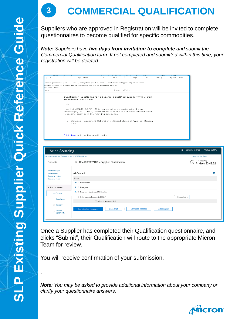.

## **3 COMMERCIAL QUALIFICATION**

Suppliers who are approved in Registration will be invited to complete questionnaires to become qualified for specific commodities.

*Note: Suppliers have five days from invitation to complete and submit the Commercial Qualification form. If not completed and submitted within this time, your registration will be deleted.* 

|                                                 | Quick Steps                                                                                                                                                                                                                                       | $\overline{\mathrm{Fm}}$       |                   |      | $\overline{\mathbb{F}_\mathbf{H}}$ . |         |                    | Ab |                                   |                 |
|-------------------------------------------------|---------------------------------------------------------------------------------------------------------------------------------------------------------------------------------------------------------------------------------------------------|--------------------------------|-------------------|------|--------------------------------------|---------|--------------------|----|-----------------------------------|-----------------|
| espond                                          |                                                                                                                                                                                                                                                   |                                | Move              | Tags |                                      | Editing | Speech Zoom        |    |                                   |                 |
|                                                 | adrevu (wadrevu) [CONT - Type 2] <s4system-prod+micron-t.doc1983932483@ansmtp.ariba.com><br/>ilification questionnaire to become a qualified supplier with Micron Technology, Inc. - TEST</s4system-prod+micron-t.doc1983932483@ansmtp.ariba.com> |                                |                   |      |                                      |         |                    |    |                                   |                 |
| vu) [CONT - Type 2]<br>years)                   |                                                                                                                                                                                                                                                   |                                | Expires 9/17/2021 |      |                                      |         |                    |    |                                   |                 |
|                                                 |                                                                                                                                                                                                                                                   |                                |                   |      |                                      |         |                    |    |                                   |                 |
|                                                 | Qualification questionnaire to become a qualified supplier with Micron<br>Technology, Inc. - TEST                                                                                                                                                 |                                |                   |      |                                      |         |                    |    |                                   |                 |
|                                                 | Hello!                                                                                                                                                                                                                                            |                                |                   |      |                                      |         |                    |    |                                   |                 |
|                                                 | Now that VENUS CORP 123 is registered as a supplier with Micron<br>Technology, Inc. - TEST, you're invited to fill out one or more questionnaires<br>to become qualified in the following categories:                                             |                                |                   |      |                                      |         |                    |    |                                   |                 |
|                                                 | Services - Equipment Calibration in United States of America, Canada,<br>$\bullet$<br>India                                                                                                                                                       |                                |                   |      |                                      |         |                    |    |                                   |                 |
|                                                 |                                                                                                                                                                                                                                                   |                                |                   |      |                                      |         |                    |    |                                   |                 |
|                                                 | Click Here to fill out the questionnaire                                                                                                                                                                                                          |                                |                   |      |                                      |         |                    |    |                                   |                 |
|                                                 |                                                                                                                                                                                                                                                   |                                |                   |      |                                      |         |                    |    |                                   |                 |
|                                                 |                                                                                                                                                                                                                                                   |                                |                   |      |                                      |         |                    |    |                                   |                 |
| Ariba Sourcing                                  |                                                                                                                                                                                                                                                   |                                |                   |      |                                      |         |                    |    | : Company Settings ▼ VENUS CORP ▼ |                 |
|                                                 | < Go back to Micron Technology, Inc. - TEST Dashboard                                                                                                                                                                                             |                                |                   |      |                                      |         |                    |    | Desktop File Sync                 |                 |
| Console                                         | 图 Doc1983932483 - Supplier Qualification                                                                                                                                                                                                          |                                |                   |      |                                      |         |                    |    | Tirne remaining                   | 4 days 23:49:52 |
| <b>Event Messages</b>                           |                                                                                                                                                                                                                                                   |                                |                   |      |                                      |         |                    |    |                                   |                 |
| <b>Event Details</b>                            | All Content                                                                                                                                                                                                                                       |                                |                   |      |                                      |         |                    |    |                                   |                 |
| <b>Response History</b><br><b>Response Team</b> | Name 1                                                                                                                                                                                                                                            |                                |                   |      |                                      |         |                    |    |                                   |                 |
|                                                 | $\blacktriangleright$ 1 Compliance                                                                                                                                                                                                                |                                |                   |      |                                      |         |                    |    |                                   |                 |
| <b>Event Contents</b>                           | $\blacktriangleright$ 2 Category                                                                                                                                                                                                                  |                                |                   |      |                                      |         |                    |    |                                   |                 |
| All Content                                     | ▶ 3 Services - Equipment Calibration                                                                                                                                                                                                              |                                |                   |      |                                      |         |                    |    |                                   |                 |
|                                                 | 4 Is the supplier based out of USA?                                                                                                                                                                                                               |                                |                   |      |                                      |         | Unspecified $\vee$ |    |                                   |                 |
| 1 Compliance                                    |                                                                                                                                                                                                                                                   | (*) indicates a required field |                   |      |                                      |         |                    |    |                                   |                 |
| 2 Category                                      |                                                                                                                                                                                                                                                   |                                |                   |      |                                      |         |                    |    |                                   |                 |

Once a Supplier has completed their Qualification questionnaire, and clicks "Submit", their Qualification will route to the appropriate Micron Team for review.

You will receive confirmation of your submission.

*Note: You may be asked to provide additional information about your company or clarify your questionnaire answers.*